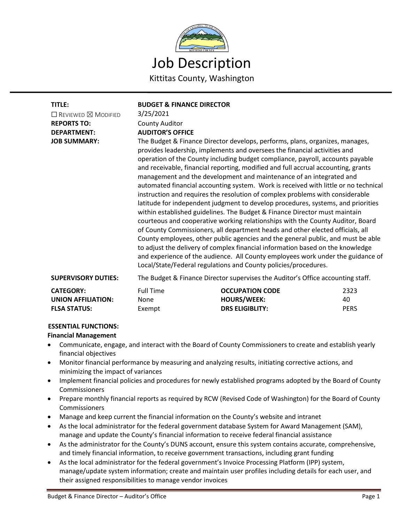

| TITLE:<br>$\Box$ Reviewed $\boxtimes$ Modified<br><b>REPORTS TO:</b><br><b>DEPARTMENT:</b><br><b>JOB SUMMARY:</b> | <b>BUDGET &amp; FINANCE DIRECTOR</b><br>3/25/2021<br><b>County Auditor</b><br><b>AUDITOR'S OFFICE</b><br>The Budget & Finance Director develops, performs, plans, organizes, manages,<br>provides leadership, implements and oversees the financial activities and<br>operation of the County including budget compliance, payroll, accounts payable<br>and receivable, financial reporting, modified and full accrual accounting, grants<br>management and the development and maintenance of an integrated and<br>automated financial accounting system. Work is received with little or no technical<br>instruction and requires the resolution of complex problems with considerable<br>latitude for independent judgment to develop procedures, systems, and priorities<br>within established guidelines. The Budget & Finance Director must maintain<br>courteous and cooperative working relationships with the County Auditor, Board<br>of County Commissioners, all department heads and other elected officials, all<br>County employees, other public agencies and the general public, and must be able<br>to adjust the delivery of complex financial information based on the knowledge<br>and experience of the audience. All County employees work under the guidance of<br>Local/State/Federal regulations and County policies/procedures. |                                                                        |                           |
|-------------------------------------------------------------------------------------------------------------------|------------------------------------------------------------------------------------------------------------------------------------------------------------------------------------------------------------------------------------------------------------------------------------------------------------------------------------------------------------------------------------------------------------------------------------------------------------------------------------------------------------------------------------------------------------------------------------------------------------------------------------------------------------------------------------------------------------------------------------------------------------------------------------------------------------------------------------------------------------------------------------------------------------------------------------------------------------------------------------------------------------------------------------------------------------------------------------------------------------------------------------------------------------------------------------------------------------------------------------------------------------------------------------------------------------------------------------------------------------|------------------------------------------------------------------------|---------------------------|
| <b>SUPERVISORY DUTIES:</b>                                                                                        | The Budget & Finance Director supervises the Auditor's Office accounting staff.                                                                                                                                                                                                                                                                                                                                                                                                                                                                                                                                                                                                                                                                                                                                                                                                                                                                                                                                                                                                                                                                                                                                                                                                                                                                            |                                                                        |                           |
| <b>CATEGORY:</b><br><b>UNION AFFILIATION:</b><br><b>FLSA STATUS:</b>                                              | <b>Full Time</b><br>None<br>Exempt                                                                                                                                                                                                                                                                                                                                                                                                                                                                                                                                                                                                                                                                                                                                                                                                                                                                                                                                                                                                                                                                                                                                                                                                                                                                                                                         | <b>OCCUPATION CODE</b><br><b>HOURS/WEEK:</b><br><b>DRS ELIGIBLITY:</b> | 2323<br>40<br><b>PERS</b> |

# **ESSENTIAL FUNCTIONS:**

- **Financial Management**
- Communicate, engage, and interact with the Board of County Commissioners to create and establish yearly financial objectives
- Monitor financial performance by measuring and analyzing results, initiating corrective actions, and minimizing the impact of variances
- Implement financial policies and procedures for newly established programs adopted by the Board of County **Commissioners**
- Prepare monthly financial reports as required by RCW (Revised Code of Washington) for the Board of County Commissioners
- Manage and keep current the financial information on the County's website and intranet
- As the local administrator for the federal government database System for Award Management (SAM), manage and update the County's financial information to receive federal financial assistance
- As the administrator for the County's DUNS account, ensure this system contains accurate, comprehensive, and timely financial information, to receive government transactions, including grant funding
- As the local administrator for the federal government's Invoice Processing Platform (IPP) system, manage/update system information; create and maintain user profiles including details for each user, and their assigned responsibilities to manage vendor invoices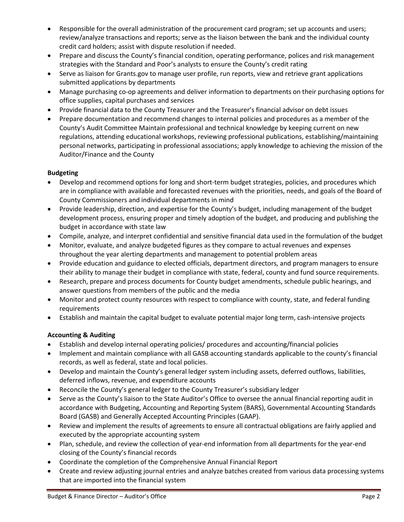- Responsible for the overall administration of the procurement card program; set up accounts and users; review/analyze transactions and reports; serve as the liaison between the bank and the individual county credit card holders; assist with dispute resolution if needed.
- Prepare and discuss the County's financial condition, operating performance, polices and risk management strategies with the Standard and Poor's analysts to ensure the County's credit rating
- Serve as liaison for Grants.gov to manage user profile, run reports, view and retrieve grant applications submitted applications by departments
- Manage purchasing co-op agreements and deliver information to departments on their purchasing options for office supplies, capital purchases and services
- Provide financial data to the County Treasurer and the Treasurer's financial advisor on debt issues
- Prepare documentation and recommend changes to internal policies and procedures as a member of the County's Audit Committee Maintain professional and technical knowledge by keeping current on new regulations, attending educational workshops, reviewing professional publications, establishing/maintaining personal networks, participating in professional associations; apply knowledge to achieving the mission of the Auditor/Finance and the County

# **Budgeting**

- Develop and recommend options for long and short-term budget strategies, policies, and procedures which are in compliance with available and forecasted revenues with the priorities, needs, and goals of the Board of County Commissioners and individual departments in mind
- Provide leadership, direction, and expertise for the County's budget, including management of the budget development process, ensuring proper and timely adoption of the budget, and producing and publishing the budget in accordance with state law
- Compile, analyze, and interpret confidential and sensitive financial data used in the formulation of the budget
- Monitor, evaluate, and analyze budgeted figures as they compare to actual revenues and expenses throughout the year alerting departments and management to potential problem areas
- Provide education and guidance to elected officials, department directors, and program managers to ensure their ability to manage their budget in compliance with state, federal, county and fund source requirements.
- Research, prepare and process documents for County budget amendments, schedule public hearings, and answer questions from members of the public and the media
- Monitor and protect county resources with respect to compliance with county, state, and federal funding requirements
- Establish and maintain the capital budget to evaluate potential major long term, cash-intensive projects

# **Accounting & Auditing**

- Establish and develop internal operating policies/ procedures and accounting/financial policies
- Implement and maintain compliance with all GASB accounting standards applicable to the county's financial records, as well as federal, state and local policies.
- Develop and maintain the County's general ledger system including assets, deferred outflows, liabilities, deferred inflows, revenue, and expenditure accounts
- Reconcile the County's general ledger to the County Treasurer's subsidiary ledger
- Serve as the County's liaison to the State Auditor's Office to oversee the annual financial reporting audit in accordance with Budgeting, Accounting and Reporting System (BARS), Governmental Accounting Standards Board (GASB) and Generally Accepted Accounting Principles (GAAP).
- Review and implement the results of agreements to ensure all contractual obligations are fairly applied and executed by the appropriate accounting system
- Plan, schedule, and review the collection of year-end information from all departments for the year-end closing of the County's financial records
- Coordinate the completion of the Comprehensive Annual Financial Report
- Create and review adjusting journal entries and analyze batches created from various data processing systems that are imported into the financial system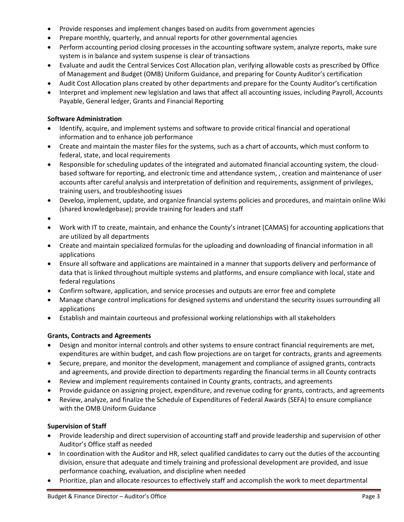- Provide responses and implement changes based on audits from government agencies
- Prepare monthly, quarterly, and annual reports for other governmental agencies
- Perform accounting period closing processes in the accounting software system, analyze reports, make sure system is in balance and system suspense is clear of transactions
- Evaluate and audit the Central Services Cost Allocation plan, verifying allowable costs as prescribed by Office of Management and Budget (OMB) Uniform Guidance, and preparing for County Auditor's certification
- Audit Cost Allocation plans created by other departments and prepare for the County Auditor's certification
- Interpret and implement new legislation and laws that affect all accounting issues, including Payroll, Accounts Payable, General ledger, Grants and Financial Reporting

## **Software Administration**

- Identify, acquire, and implement systems and software to provide critical financial and operational information and to enhance job performance
- Create and maintain the master files for the systems, such as a chart of accounts, which must conform to federal, state, and local requirements
- Responsible for scheduling updates of the integrated and automated financial accounting system, the cloudbased software for reporting, and electronic time and attendance system, , creation and maintenance of user accounts after careful analysis and interpretation of definition and requirements, assignment of privileges, training users, and troubleshooting issues
- Develop, implement, update, and organize financial systems policies and procedures, and maintain online Wiki (shared knowledgebase); provide training for leaders and staff
- •
- Work with IT to create, maintain, and enhance the County's intranet (CAMAS) for accounting applications that are utilized by all departments
- Create and maintain specialized formulas for the uploading and downloading of financial information in all applications
- Ensure all software and applications are maintained in a manner that supports delivery and performance of data that is linked throughout multiple systems and platforms, and ensure compliance with local, state and federal regulations
- Confirm software, application, and service processes and outputs are error free and complete
- Manage change control implications for designed systems and understand the security issues surrounding all applications
- Establish and maintain courteous and professional working relationships with all stakeholders

# **Grants, Contracts and Agreements**

- Design and monitor internal controls and other systems to ensure contract financial requirements are met, expenditures are within budget, and cash flow projections are on target for contracts, grants and agreements
- Secure, prepare, and monitor the development, management and compliance of assigned grants, contracts and agreements, and provide direction to departments regarding the financial terms in all County contracts
- Review and implement requirements contained in County grants, contracts, and agreements
- Provide guidance on assigning project, expenditure, and revenue coding for grants, contracts, and agreements
- Review, analyze, and finalize the Schedule of Expenditures of Federal Awards (SEFA) to ensure compliance with the OMB Uniform Guidance

# **Supervision of Staff**

- Provide leadership and direct supervision of accounting staff and provide leadership and supervision of other Auditor's Office staff as needed
- In coordination with the Auditor and HR, select qualified candidates to carry out the duties of the accounting division, ensure that adequate and timely training and professional development are provided, and issue performance coaching, evaluation, and discipline when needed
- Prioritize, plan and allocate resources to effectively staff and accomplish the work to meet departmental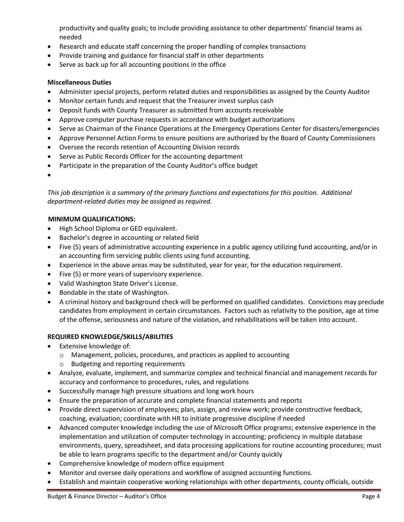productivity and quality goals; to include providing assistance to other departments' financial teams as needed

- Research and educate staff concerning the proper handling of complex transactions
- Provide training and guidance for financial staff in other departments
- Serve as back up for all accounting positions in the office

## **Miscellaneous Duties**

- Administer special projects, perform related duties and responsibilities as assigned by the County Auditor
- Monitor certain funds and request that the Treasurer invest surplus cash
- Deposit funds with County Treasurer as submitted from accounts receivable
- Approve computer purchase requests in accordance with budget authorizations
- Serve as Chairman of the Finance Operations at the Emergency Operations Center for disasters/emergencies
- Approve Personnel Action Forms to ensure positions are authorized by the Board of County Commissioners
- Oversee the records retention of Accounting Division records
- Serve as Public Records Officer for the accounting department
- Participate in the preparation of the County Auditor's office budget
- •

*This job description is a summary of the primary functions and expectations for this position. Additional department-related duties may be assigned as required.*

## **MINIMUM QUALIFICATIONS:**

- High School Diploma or GED equivalent.
- Bachelor's degree in accounting or related field
- Five (5) years of administrative accounting experience in a public agency utilizing fund accounting, and/or in an accounting firm servicing public clients using fund accounting.
- Experience in the above areas may be substituted, year for year, for the education requirement.
- Five (5) or more years of supervisory experience.
- Valid Washington State Driver's License.
- Bondable in the state of Washington.
- A criminal history and background check will be performed on qualified candidates. Convictions may preclude candidates from employment in certain circumstances. Factors such as relativity to the position, age at time of the offense, seriousness and nature of the violation, and rehabilitations will be taken into account.

#### **REQUIRED KNOWLEDGE/SKILLS/ABILITIES**

- Extensive knowledge of:
	- o Management, policies, procedures, and practices as applied to accounting
	- o Budgeting and reporting requirements
- Analyze, evaluate, implement, and summarize complex and technical financial and management records for accuracy and conformance to procedures, rules, and regulations
- Successfully manage high pressure situations and long work hours
- Ensure the preparation of accurate and complete financial statements and reports
- Provide direct supervision of employees; plan, assign, and review work; provide constructive feedback, coaching, evaluation; coordinate with HR to initiate progressive discipline if needed
- Advanced computer knowledge including the use of Microsoft Office programs; extensive experience in the implementation and utilization of computer technology in accounting; proficiency in multiple database environments, query, spreadsheet, and data processing applications for routine accounting procedures; must be able to learn programs specific to the department and/or County quickly
- Comprehensive knowledge of modern office equipment
- Monitor and oversee daily operations and workflow of assigned accounting functions.
- Establish and maintain cooperative working relationships with other departments, county officials, outside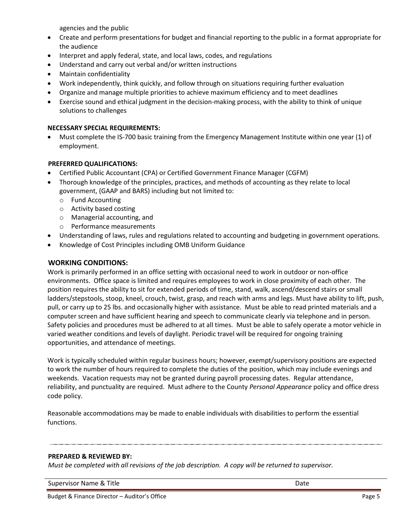agencies and the public

- Create and perform presentations for budget and financial reporting to the public in a format appropriate for the audience
- Interpret and apply federal, state, and local laws, codes, and regulations
- Understand and carry out verbal and/or written instructions
- Maintain confidentiality
- Work independently, think quickly, and follow through on situations requiring further evaluation
- Organize and manage multiple priorities to achieve maximum efficiency and to meet deadlines
- Exercise sound and ethical judgment in the decision-making process, with the ability to think of unique solutions to challenges

## **NECESSARY SPECIAL REQUIREMENTS:**

• Must complete the IS-700 basic training from the Emergency Management Institute within one year (1) of employment.

## **PREFERRED QUALIFICATIONS:**

- Certified Public Accountant (CPA) or Certified Government Finance Manager (CGFM)
- Thorough knowledge of the principles, practices, and methods of accounting as they relate to local government, (GAAP and BARS) including but not limited to:
	- o Fund Accounting
	- o Activity based costing
	- o Managerial accounting, and
	- o Performance measurements
- Understanding of laws, rules and regulations related to accounting and budgeting in government operations.
- Knowledge of Cost Principles including OMB Uniform Guidance

#### **WORKING CONDITIONS:**

Work is primarily performed in an office setting with occasional need to work in outdoor or non-office environments. Office space is limited and requires employees to work in close proximity of each other. The position requires the ability to sit for extended periods of time, stand, walk, ascend/descend stairs or small ladders/stepstools, stoop, kneel, crouch, twist, grasp, and reach with arms and legs. Must have ability to lift, push, pull, or carry up to 25 lbs. and occasionally higher with assistance. Must be able to read printed materials and a computer screen and have sufficient hearing and speech to communicate clearly via telephone and in person. Safety policies and procedures must be adhered to at all times. Must be able to safely operate a motor vehicle in varied weather conditions and levels of daylight. Periodic travel will be required for ongoing training opportunities, and attendance of meetings.

Work is typically scheduled within regular business hours; however, exempt/supervisory positions are expected to work the number of hours required to complete the duties of the position, which may include evenings and weekends. Vacation requests may not be granted during payroll processing dates. Regular attendance, reliability, and punctuality are required. Must adhere to the County *Personal Appearance* policy and office dress code policy.

Reasonable accommodations may be made to enable individuals with disabilities to perform the essential functions.

#### **PREPARED & REVIEWED BY:**

*Must be completed with all revisions of the job description. A copy will be returned to supervisor.*

Supervisor Name & Title **Date of the United States and States and States and States and Date Oate**